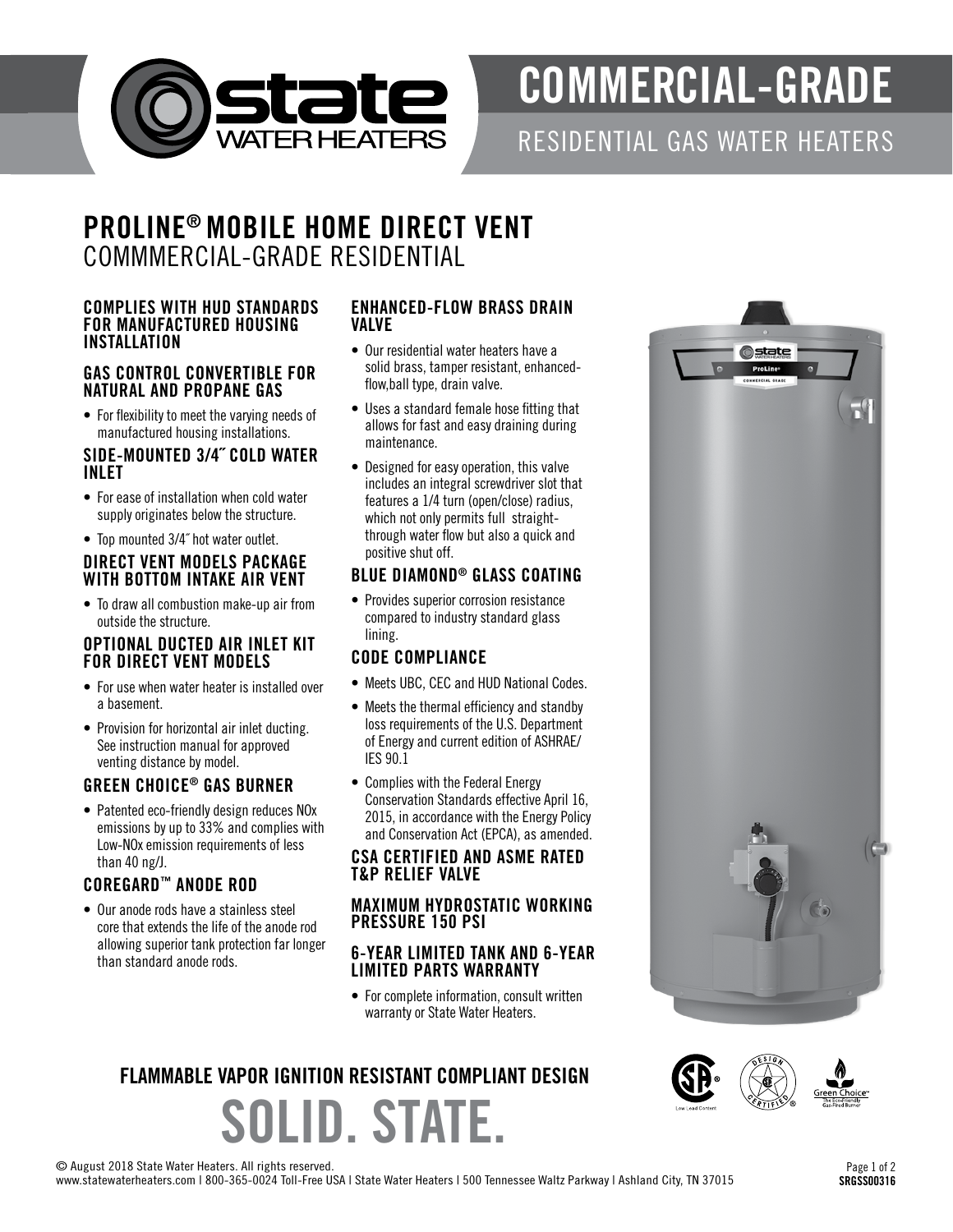

# COMMERCIAL-GRADE

RESIDENTIAL GAS WATER HEATERS

**n**state

### PROLINE® MOBILE HOME DIRECT VENT COMMMERCIAL-GRADE RESIDENTIAL

#### COMPLIES WITH HUD STANDARDS FOR MANUFACTURED HOUSING INSTALLATION

#### GAS CONTROL CONVERTIBLE FOR NATURAL AND PROPANE GAS

• For flexibility to meet the varying needs of manufactured housing installations.

#### SIDE-MOUNTED 3/4˝ COLD WATER INLET

- For ease of installation when cold water supply originates below the structure.
- Top mounted 3/4˝ hot water outlet.

#### DIRECT VENT MODELS PACKAGE WITH BOTTOM INTAKE AIR VENT

• To draw all combustion make-up air from outside the structure.

#### OPTIONAL DUCTED AIR INLET KIT FOR DIRECT VENT MODELS

- For use when water heater is installed over a basement.
- Provision for horizontal air inlet ducting. See instruction manual for approved venting distance by model.

#### GREEN CHOICE ® GAS BURNER

• Patented eco-friendly design reduces NOx emissions by up to 33% and complies with Low-NOx emission requirements of less than 40 ng/J.

#### COREGARD ™ ANODE ROD

• Our anode rods have a stainless steel core that extends the life of the anode rod allowing superior tank protection far longer than standard anode rods.

#### ENHANCED-FLOW BRASS DRAIN VALVE

- Our residential water heaters have a solid brass, tamper resistant, enhancedflow,ball type, drain valve.
- Uses a standard female hose fitting that allows for fast and easy draining during maintenance.
- Designed for easy operation, this valve includes an integral screwdriver slot that features a 1/4 turn (open/close) radius, which not only permits full straightthrough water flow but also a quick and positive shut off.

#### BLUE DIAMOND ® GLASS COATING

• Provides superior corrosion resistance compared to industry standard glass lining.

#### CODE COMPLIANCE

- Meets UBC, CEC and HUD National Codes.
- Meets the thermal efficiency and standby loss requirements of the U.S. Department of Energy and current edition of ASHRAE/ IES 90.1
- Complies with the Federal Energy Conservation Standards effective April 16, 2015, in accordance with the Energy Policy and Conservation Act (EPCA), as amended.

#### CSA CERTIFIED AND ASME RATED T&P RELIEF VALVE

#### MAXIMUM HYDROSTATIC WORKING PRESSURE 150 PSI

#### 6-YEAR LIMITED TANK AND 6-YEAR LIMITED PARTS WARRANTY

• For complete information, consult written warranty or State Water Heaters.

## SOLID. STATE. FLAMMABLE VAPOR IGNITION RESISTANT COMPLIANT DESIGN



© August 2018 State Water Heaters. All rights reserved.

www.statewaterheaters.com | 800-365-0024 Toll-Free USA | State Water Heaters | 500 Tennessee Waltz Parkway | Ashland City, TN 37015